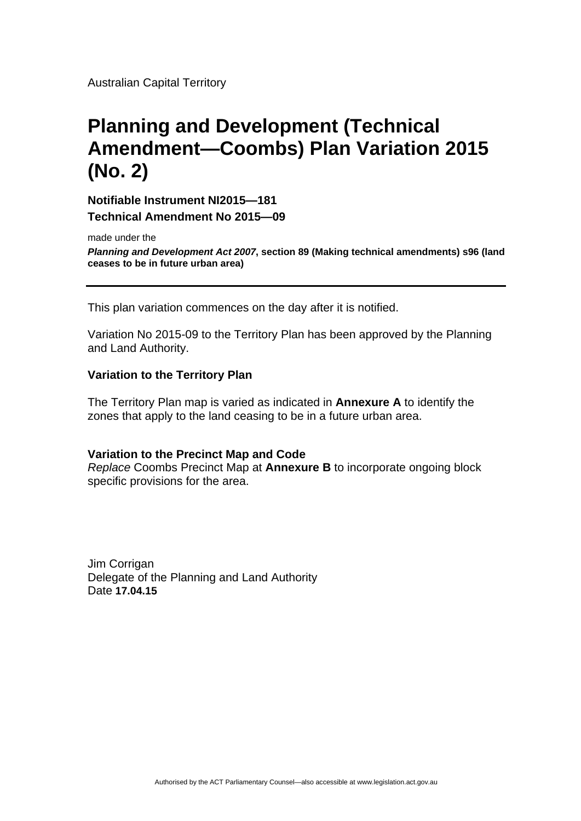Australian Capital Territory

# **Planning and Development (Technical Amendment—Coombs) Plan Variation 2015 (No. 2)**

**Notifiable Instrument NI2015—181 Technical Amendment No 2015—09**

made under the

*Planning and Development Act 2007***, section 89 (Making technical amendments) s96 (land ceases to be in future urban area)**

This plan variation commences on the day after it is notified.

Variation No 2015-09 to the Territory Plan has been approved by the Planning and Land Authority.

### **Variation to the Territory Plan**

The Territory Plan map is varied as indicated in **Annexure A** to identify the zones that apply to the land ceasing to be in a future urban area.

#### **Variation to the Precinct Map and Code**

*Replace* Coombs Precinct Map at **Annexure B** to incorporate ongoing block specific provisions for the area.

Jim Corrigan Delegate of the Planning and Land Authority Date **17.04.15**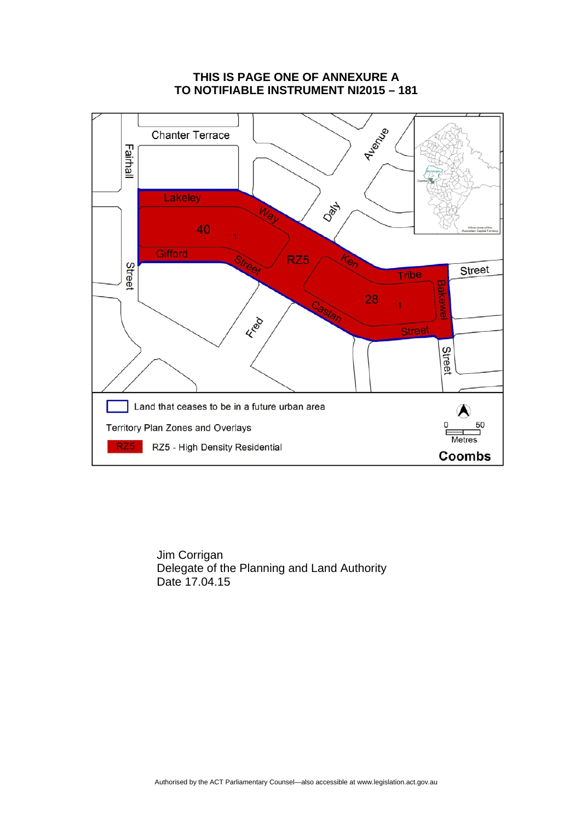## **THIS IS PAGE ONE OF ANNEXURE A TO NOTIFIABLE INSTRUMENT NI2015 – 181**



 Jim Corrigan Delegate of the Planning and Land Authority Date 17.04.15